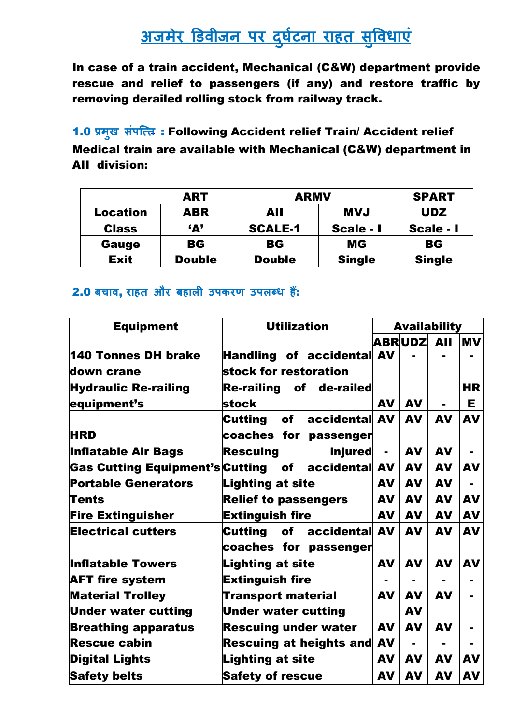# **अजमेर डिवीजन पर दर् ु टघ ना राहत सु ववधाएं**

In case of a train accident, Mechanical (C&W) department provide rescue and relief to passengers (if any) and restore traffic by removing derailed rolling stock from railway track.

1.0 **प्रम ु ख संपत्तत** : Following Accident relief Train/ Accident relief Medical train are available with Mechanical (C&W) department in AII division:

|                 | <b>ART</b>    | <b>ARMV</b>    |               | <b>SPART</b>  |
|-----------------|---------------|----------------|---------------|---------------|
| <b>Location</b> | <b>ABR</b>    | AII            | <b>LVM</b>    | <b>UDZ</b>    |
| <b>Class</b>    | A'            | <b>SCALE-1</b> | Scale - I     | Scale - I     |
| Gauge           | BG            | <b>BG</b>      | <b>MG</b>     | <b>BG</b>     |
| <b>Exit</b>     | <b>Double</b> | <b>Double</b>  | <b>Single</b> | <b>Single</b> |

#### 2.0 **बचाव**, **राहत और बहाली उपकरण उपलब्ध हैं** :

| <b>Equipment</b>                | <b>Utilization</b>                      | <b>Availability</b> |                |                |                |
|---------------------------------|-----------------------------------------|---------------------|----------------|----------------|----------------|
|                                 |                                         |                     | <b>ABRUDZ</b>  | <b>AII</b>     | <b>MV</b>      |
| 140 Tonnes DH brake             | <b>Handling of accidental AV</b>        |                     |                |                |                |
| down crane                      | stock for restoration                   |                     |                |                |                |
| <b>Hydraulic Re-railing</b>     | Re-railing of de-railed                 |                     |                |                | <b>HR</b>      |
| equipment's                     | stock                                   | <b>AV</b>           | <b>AV</b>      | $\blacksquare$ | Е              |
|                                 | accidental AV<br><b>Cutting</b><br>of l |                     | <b>AV</b>      | <b>AV</b>      | <b>AV</b>      |
| <b>HRD</b>                      | coaches for<br>passenger                |                     |                |                |                |
| <b>Inflatable Air Bags</b>      | <b>Rescuing</b><br>injured              | $\blacksquare$      | <b>AV</b>      | <b>AV</b>      |                |
| Gas Cutting Equipment's Cutting | accidental AV<br><b>of</b>              |                     | <b>AV</b>      | <b>AV</b>      | <b>AV</b>      |
| <b>Portable Generators</b>      | <b>Lighting at site</b>                 | <b>AV</b>           | <b>AV</b>      | <b>AV</b>      |                |
| Tents                           | <b>Relief to passengers</b>             | <b>AV</b>           | <b>AV</b>      | <b>AV</b>      | <b>AV</b>      |
| <b>Fire Extinguisher</b>        | <b>Extinguish fire</b>                  | <b>AV</b>           | <b>AV</b>      | <b>AV</b>      | <b>AV</b>      |
| <b>Electrical cutters</b>       | Cutting of accidental AV                |                     | <b>AV</b>      | <b>AV</b>      | <b>AV</b>      |
|                                 | coaches for passenger                   |                     |                |                |                |
| <b>Inflatable Towers</b>        | <b>Lighting at site</b>                 | <b>AV</b>           | <b>AV</b>      | <b>AV</b>      | <b>AV</b>      |
| <b>AFT fire system</b>          | <b>Extinguish fire</b>                  |                     |                |                |                |
| <b>Material Trolley</b>         | <b>Transport material</b>               | <b>AV</b>           | <b>AV</b>      | <b>AV</b>      | $\blacksquare$ |
| <b>Under water cutting</b>      | <b>Under water cutting</b>              |                     | <b>AV</b>      |                |                |
| <b>Breathing apparatus</b>      | <b>Rescuing under water</b>             | <b>AV</b>           | <b>AV</b>      | <b>AV</b>      |                |
| <b>Rescue cabin</b>             | <b>Rescuing at heights and</b>          | <b>AV</b>           | $\blacksquare$ | $\blacksquare$ | $\blacksquare$ |
| <b>Digital Lights</b>           | <b>Lighting at site</b>                 | <b>AV</b>           | <b>AV</b>      | <b>AV</b>      | <b>AV</b>      |
| <b>Safety belts</b>             | <b>Safety of rescue</b>                 | <b>AV</b>           | <b>AV</b>      | <b>AV</b>      | <b>AV</b>      |